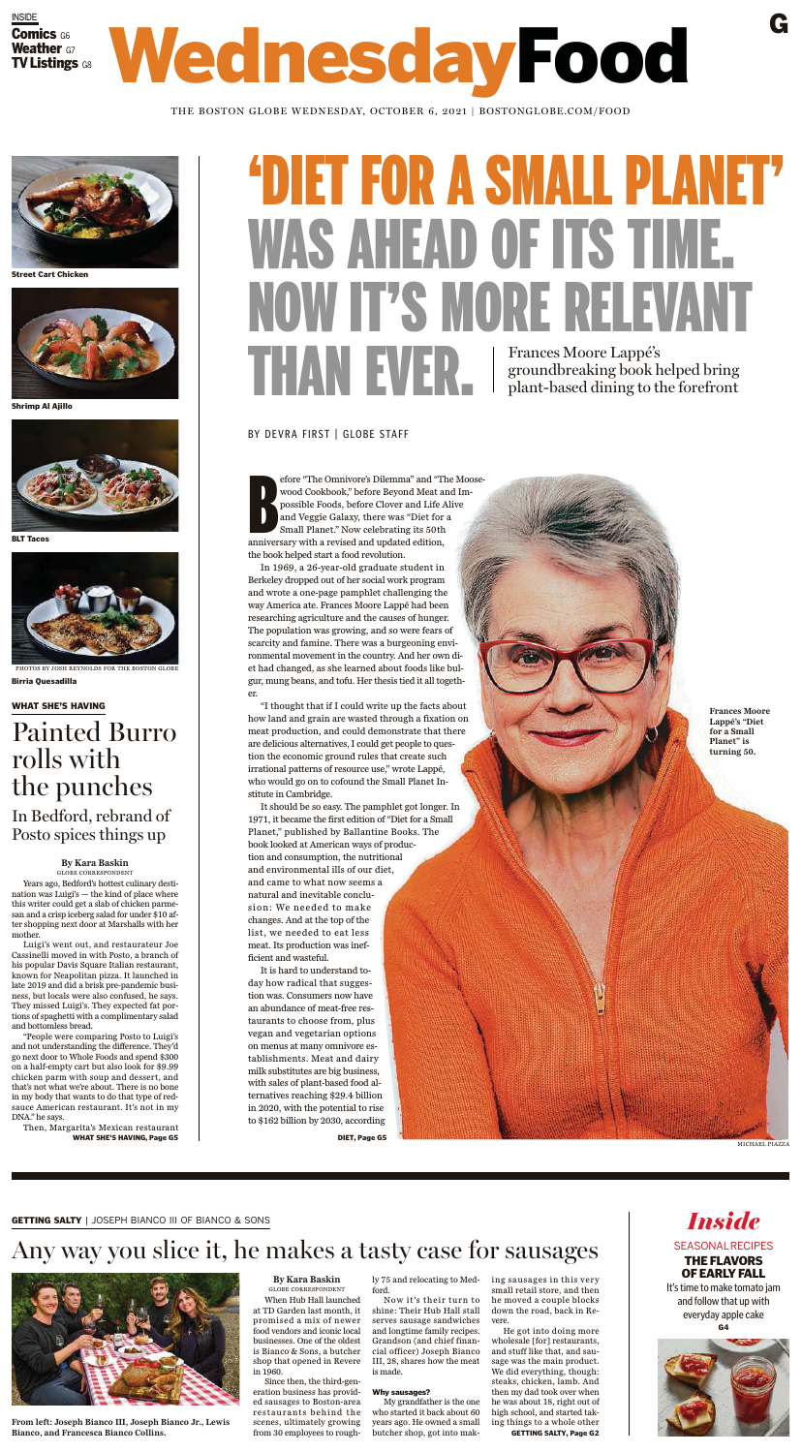WHAT SHE'S HAVING

## Painted Burro rolls with the punches

In Bedford, rebrand of Posto spices things up

## Any way you slice it, he makes a tasty case for sausages



**By Kara Baskin** GLOBE CORRESPONDENT

When Hub Hall launched at TD Garden last month, it promised a mix of newer food vendors and iconic local businesses. One of the oldest is Bianco & Sons, a butcher shop that opened in Revere in 1960.

Since then, the third-generation business has provided sausages to Boston-area restaurants behind the scenes, ultimately growing from 30 employees to rough-

ly 75 and relocating to Medford.

Now it's their turn to shine: Their Hub Hall stall serves sausage sandwiches and longtime family recipes. Grandson (and chief financial officer) Joseph Bianco III, 28, shares how the meat is made.

### Why sausages?

My grandfather is the one who started it back about 60 years ago. He owned a small butcher shop, got into making sausages in this very small retail store, and then he moved a couple blocks down the road, back in Revere.

He got into doing more wholesale [for] restaurants, and stuff like that, and sausage was the main product. We did everything, though: steaks, chicken, lamb. And then my dad took over when he was about 18, right out of high school, and started taking things to a whole other

GETTING SALTY, Page G2

**From left: Joseph Bianco III, Joseph Bianco Jr., Lewis Bianco, and Francesca Bianco Collins.**

*Inside*

### **SEASONAL RECIPES**

### THE FLAVORS OF EARLY FALL

It's time to make tomato jam and follow that up with everyday apple cake G4



### **By Kara Baskin** GLOBE CORRESPONDENT

Years ago, Bedford's hottest culinary destination was Luigi's — the kind of place where this writer could get a slab of chicken parmesan and a crisp iceberg salad for under \$10 after shopping next door at Marshalls with her mother.

Luigi's went out, and restaurateur Joe Cassinelli moved in with Posto, a branch of his popular Davis Square Italian restaurant, known for Neapolitan pizza. It launched in late 2019 and did a brisk pre-pandemic business, but locals were also confused, he says. They missed Luigi's. They expected fat portions of spaghetti with a complimentary salad and bottomless bread.

"People were comparing Posto to Luigi's and not understanding the difference. They'd go next door to Whole Foods and spend \$300 on a half-empty cart but also look for \$9.99 chicken parm with soup and dessert, and that's not what we're about. There is no bone in my body that wants to do that type of redsauce American restaurant. It's not in my DNA." he says.

Then, Margarita's Mexican restaurant WHAT SHE'S HAVING, Page G5



PHOTOS BY JOSH REYNOLDS FOR THE BOSTON GLOBE Birria Quesadilla



BLT Tacos



Shrimp Al Ajillo

## WednesdayFood **Comics G6<br>Weather G7 weather G7<br>TV Listings TV LISTINGS G8**

THE BOSTON GLOBE WEDNESDAY, OCTOBER 6, 2021 | BOSTONGLOBE.COM/FOOD

G



Street Cart Chicken

# 'Diet for a Small Planet' was ahead of its time. Now it's more relevant THAN EVER. Frances Moore Lappé's<br>groundbreaking book handbreaking book handbreaking book handbreaking to t groundbreaking book helped bring plant-based dining to the forefront

### BY DEVRA FIRST | GLOBE STAFF

INSIDE

B efore "The Omnivore's Dilemma" and "The Moosewood Cookbook," before Beyond Meat and Impossible Foods, before Clover and Life Alive and Veggie Galaxy, there was "Diet for a Small Planet." Now celebrating its 50th anniversary with a revised and updated edition, the book helped start a food revolution.

In 1969, a 26-year-old graduate student in Berkeley dropped out of her social work program and wrote a one-page pamphlet challenging the way America ate. Frances Moore Lappé had been researching agriculture and the causes of hunger. The population was growing, and so were fears of scarcity and famine. There was a burgeoning environmental movement in the country. And her own diet had changed, as she learned about foods like bulgur, mung beans, and tofu. Her thesis tied it all together.

"I thought that if I could write up the facts about how land and grain are wasted through a fixation on meat production, and could demonstrate that there are delicious alternatives, I could get people to question the economic ground rules that create such irrational patterns of resource use," wrote Lappé, who would go on to cofound the Small Planet Institute in Cambridge.

It should be so easy. The pamphlet got longer. In 1971, it became the first edition of "Diet for a Small Planet," published by Ballantine Books. The book looked at American ways of production and consumption, the nutritional and environmental ills of our diet, and came to what now seems a natural and inevitable conclusion: We needed to make changes. And at the top of the list, we needed to eat less meat. Its production was inefficient and wasteful. It is hard to understand today how radical that suggestion was. Consumers now have an abundance of meat-free restaurants to choose from, plus vegan and vegetarian options on menus at many omnivore establishments. Meat and dairy milk substitutes are big business, with sales of plant-based food alternatives reaching \$29.4 billion in 2020, with the potential to rise to \$162 billion by 2030, according

DIET, Page G5

**Frances Moore Lappé's "Diet for a Small Planet" is turning 50.**



GETTING SALTY | JOSEPH BIANCO III OF BIANCO & SONS